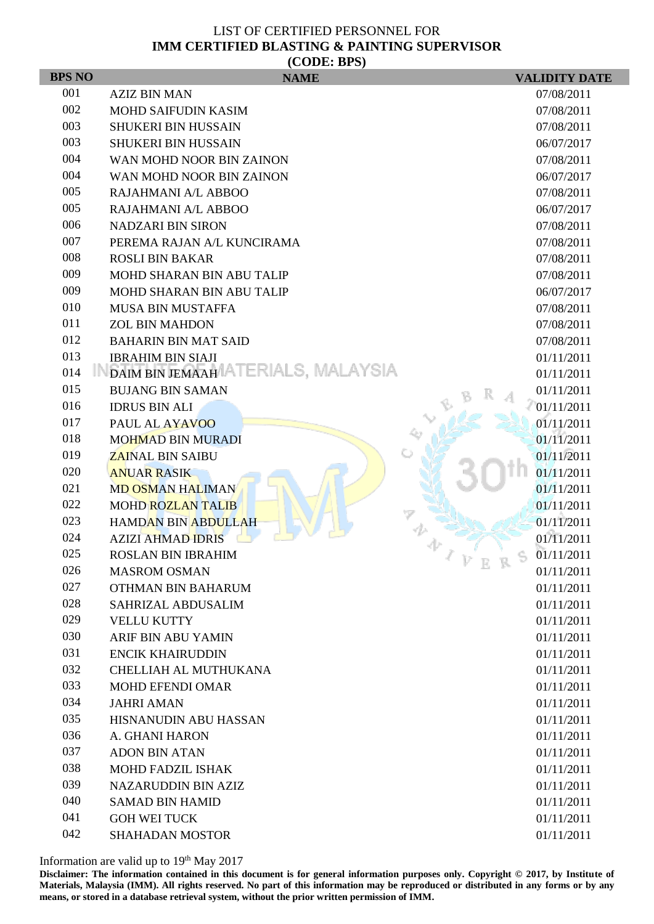| <b>BPS NO</b> | (CDDE, DI <sub>D</sub> )<br><b>NAME</b>   | <b>VALIDITY DATE</b>                |
|---------------|-------------------------------------------|-------------------------------------|
| 001           | <b>AZIZ BIN MAN</b>                       | 07/08/2011                          |
| 002           | <b>MOHD SAIFUDIN KASIM</b>                | 07/08/2011                          |
| 003           | <b>SHUKERI BIN HUSSAIN</b>                | 07/08/2011                          |
| 003           | <b>SHUKERI BIN HUSSAIN</b>                | 06/07/2017                          |
| 004           | WAN MOHD NOOR BIN ZAINON                  | 07/08/2011                          |
| 004           | WAN MOHD NOOR BIN ZAINON                  | 06/07/2017                          |
| 005           | RAJAHMANI A/L ABBOO                       | 07/08/2011                          |
| 005           | RAJAHMANI A/L ABBOO                       | 06/07/2017                          |
| 006           | <b>NADZARI BIN SIRON</b>                  | 07/08/2011                          |
| 007           | PEREMA RAJAN A/L KUNCIRAMA                | 07/08/2011                          |
| 008           | <b>ROSLI BIN BAKAR</b>                    | 07/08/2011                          |
| 009           | <b>MOHD SHARAN BIN ABU TALIP</b>          | 07/08/2011                          |
| 009           | MOHD SHARAN BIN ABU TALIP                 | 06/07/2017                          |
| 010           | <b>MUSA BIN MUSTAFFA</b>                  | 07/08/2011                          |
| 011           | <b>ZOL BIN MAHDON</b>                     | 07/08/2011                          |
| 012           | <b>BAHARIN BIN MAT SAID</b>               | 07/08/2011                          |
| 013           | <b>IBRAHIM BIN SIAJI</b>                  | 01/11/2011                          |
| 014           | DAIM BIN JEMAAH ATERIALS, MALAYSIA        | 01/11/2011                          |
| 015           | <b>BUJANG BIN SAMAN</b>                   | 01/11/2011                          |
| 016           | <b>IDRUS BIN ALI</b>                      | 01/11/2011                          |
| 017           | PAUL AL AYAVOO                            | 01/11/2011                          |
| 018           | <b>MOHMAD BIN MURADI</b>                  | 01/11/2011                          |
| 019           | <b>ZAINAL BIN SAIBU</b>                   | 01/11/2011                          |
| 020           | <b>ANUAR RASIK</b>                        | 01/11/2011                          |
| 021           | <b>MD OSMAN HALIMAN</b>                   | 01/11/2011                          |
| 022           | <b>MOHD ROZLAN TALIB</b>                  | 01/11/2011                          |
| 023           | <b>HAMDAN BIN ABDULLAH</b>                | 01/11/2011                          |
| 024           | <b>AZIZI AHMAD IDRIS</b>                  | 01/11/2011                          |
| 025<br>026    | <b>ROSLAN BIN IBRAHIM</b>                 | 01/11/2011<br>×.<br>V E<br>D.<br>-R |
| 027           | <b>MASROM OSMAN</b><br>OTHMAN BIN BAHARUM | 01/11/2011<br>01/11/2011            |
| 028           | SAHRIZAL ABDUSALIM                        | 01/11/2011                          |
| 029           | <b>VELLU KUTTY</b>                        | 01/11/2011                          |
| 030           | <b>ARIF BIN ABU YAMIN</b>                 | 01/11/2011                          |
| 031           | <b>ENCIK KHAIRUDDIN</b>                   | 01/11/2011                          |
| 032           | CHELLIAH AL MUTHUKANA                     | 01/11/2011                          |
| 033           | <b>MOHD EFENDI OMAR</b>                   | 01/11/2011                          |
| 034           | <b>JAHRI AMAN</b>                         | 01/11/2011                          |
| 035           | HISNANUDIN ABU HASSAN                     | 01/11/2011                          |
| 036           | A. GHANI HARON                            | 01/11/2011                          |
| 037           | <b>ADON BIN ATAN</b>                      | 01/11/2011                          |
| 038           | MOHD FADZIL ISHAK                         | 01/11/2011                          |
| 039           | <b>NAZARUDDIN BIN AZIZ</b>                | 01/11/2011                          |
| 040           | <b>SAMAD BIN HAMID</b>                    | 01/11/2011                          |
| 041           | <b>GOH WEI TUCK</b>                       | 01/11/2011                          |
| 042           | <b>SHAHADAN MOSTOR</b>                    | 01/11/2011                          |

Information are valid up to 19<sup>th</sup> May 2017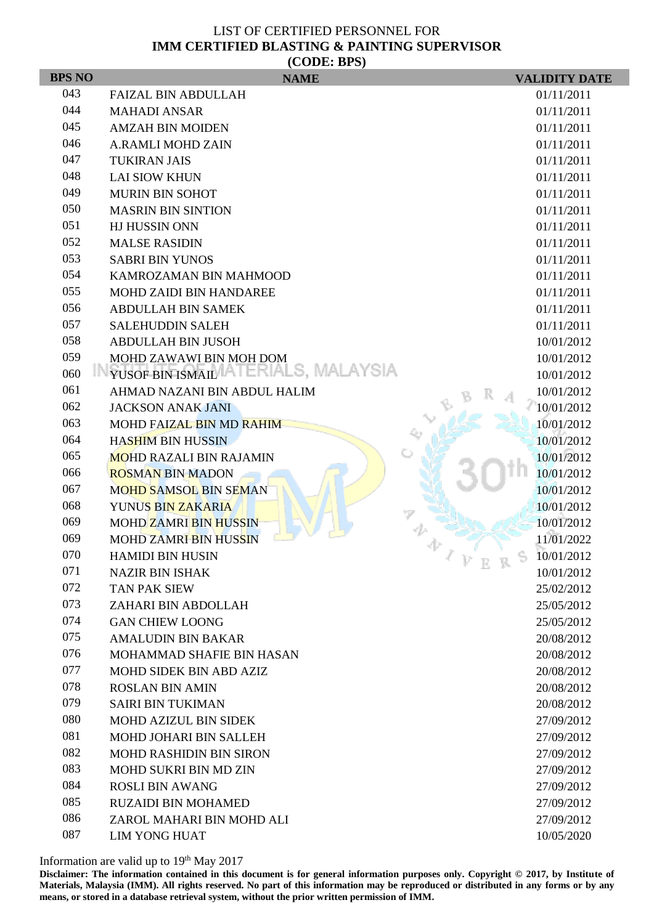| <b>BPS NO</b> | (CDDE, BID)<br><b>NAME</b>                               | <b>VALIDITY DATE</b>     |
|---------------|----------------------------------------------------------|--------------------------|
| 043           | <b>FAIZAL BIN ABDULLAH</b>                               | 01/11/2011               |
| 044           | <b>MAHADI ANSAR</b>                                      | 01/11/2011               |
| 045           | <b>AMZAH BIN MOIDEN</b>                                  | 01/11/2011               |
| 046           | <b>A.RAMLI MOHD ZAIN</b>                                 | 01/11/2011               |
| 047           | <b>TUKIRAN JAIS</b>                                      | 01/11/2011               |
| 048           | <b>LAI SIOW KHUN</b>                                     | 01/11/2011               |
| 049           | <b>MURIN BIN SOHOT</b>                                   | 01/11/2011               |
| 050           | <b>MASRIN BIN SINTION</b>                                | 01/11/2011               |
| 051           | HJ HUSSIN ONN                                            | 01/11/2011               |
| 052           | <b>MALSE RASIDIN</b>                                     | 01/11/2011               |
| 053           | <b>SABRI BIN YUNOS</b>                                   | 01/11/2011               |
| 054           | KAMROZAMAN BIN MAHMOOD                                   | 01/11/2011               |
| 055           | <b>MOHD ZAIDI BIN HANDAREE</b>                           | 01/11/2011               |
| 056           | <b>ABDULLAH BIN SAMEK</b>                                | 01/11/2011               |
| 057           | <b>SALEHUDDIN SALEH</b>                                  | 01/11/2011               |
| 058           | <b>ABDULLAH BIN JUSOH</b>                                | 10/01/2012               |
| 059           | MOHD ZAWAWI BIN MOH DOM                                  | 10/01/2012               |
| 060           | YUSOF BIN ISMAIL ATERIALS, MALAYSIA                      | 10/01/2012               |
| 061           | AHMAD NAZANI BIN ABDUL HALIM                             | 10/01/2012               |
| 062           | <b>JACKSON ANAK JANI</b>                                 | 10/01/2012               |
| 063           | MOHD FAIZAL BIN MD RAHIM                                 | 10/01/2012               |
| 064           | <b>HASHIM BIN HUSSIN</b>                                 | 10/01/2012               |
| 065           | <b>MOHD RAZALI BIN RAJAMIN</b>                           | 10/01/2012               |
| 066<br>067    | <b>ROSMAN BIN MADON</b>                                  | 10/01/2012               |
| 068           | <b>MOHD SAMSOL BIN SEMAN</b><br><b>YUNUS BIN ZAKARIA</b> | 10/01/2012<br>10/01/2012 |
| 069           | <b>MOHD ZAMRI BIN HUSSIN</b>                             | 10/01/2012               |
| 069           | <b>MOHD ZAMRI BIN HUSSIN</b>                             | 11/01/2022               |
| 070           | <b>HAMIDI BIN HUSIN</b>                                  | 10/01/2012               |
| 071           | <b>NAZIR BIN ISHAK</b>                                   | V E R<br>P<br>10/01/2012 |
| 072           | <b>TAN PAK SIEW</b>                                      | 25/02/2012               |
| 073           | ZAHARI BIN ABDOLLAH                                      | 25/05/2012               |
| 074           | <b>GAN CHIEW LOONG</b>                                   | 25/05/2012               |
| 075           | <b>AMALUDIN BIN BAKAR</b>                                | 20/08/2012               |
| 076           | <b>MOHAMMAD SHAFIE BIN HASAN</b>                         | 20/08/2012               |
| 077           | <b>MOHD SIDEK BIN ABD AZIZ</b>                           | 20/08/2012               |
| 078           | <b>ROSLAN BIN AMIN</b>                                   | 20/08/2012               |
| 079           | <b>SAIRI BIN TUKIMAN</b>                                 | 20/08/2012               |
| 080           | <b>MOHD AZIZUL BIN SIDEK</b>                             | 27/09/2012               |
| 081           | <b>MOHD JOHARI BIN SALLEH</b>                            | 27/09/2012               |
| 082           | <b>MOHD RASHIDIN BIN SIRON</b>                           | 27/09/2012               |
| 083           | <b>MOHD SUKRI BIN MD ZIN</b>                             | 27/09/2012               |
| 084           | <b>ROSLI BIN AWANG</b>                                   | 27/09/2012               |
| 085           | <b>RUZAIDI BIN MOHAMED</b>                               | 27/09/2012               |
| 086           | ZAROL MAHARI BIN MOHD ALI                                | 27/09/2012               |
| 087           | <b>LIM YONG HUAT</b>                                     | 10/05/2020               |

Information are valid up to 19<sup>th</sup> May 2017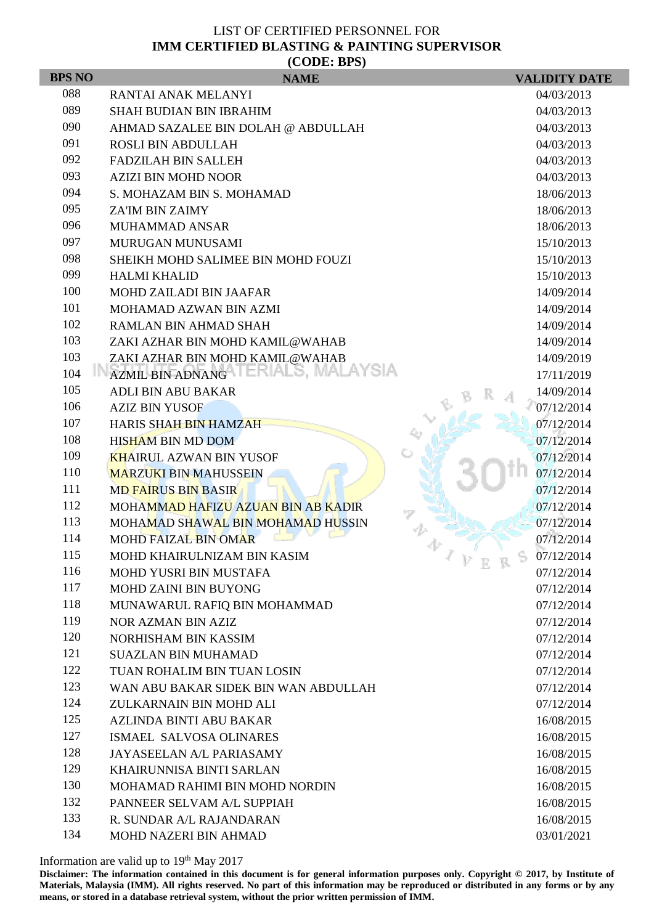| (CDDE: BPS)   |                                                                         |                                       |  |  |  |
|---------------|-------------------------------------------------------------------------|---------------------------------------|--|--|--|
| <b>BPS NO</b> | <b>NAME</b>                                                             | <b>VALIDITY DATE</b>                  |  |  |  |
| 088           | <b>RANTAI ANAK MELANYI</b>                                              | 04/03/2013                            |  |  |  |
| 089           | <b>SHAH BUDIAN BIN IBRAHIM</b>                                          | 04/03/2013                            |  |  |  |
| 090           | AHMAD SAZALEE BIN DOLAH @ ABDULLAH                                      | 04/03/2013                            |  |  |  |
| 091           | <b>ROSLI BIN ABDULLAH</b>                                               | 04/03/2013                            |  |  |  |
| 092           | <b>FADZILAH BIN SALLEH</b>                                              | 04/03/2013                            |  |  |  |
| 093           | <b>AZIZI BIN MOHD NOOR</b>                                              | 04/03/2013                            |  |  |  |
| 094           | S. MOHAZAM BIN S. MOHAMAD                                               | 18/06/2013                            |  |  |  |
| 095           | <b>ZA'IM BIN ZAIMY</b>                                                  | 18/06/2013                            |  |  |  |
| 096           | <b>MUHAMMAD ANSAR</b>                                                   | 18/06/2013                            |  |  |  |
| 097           | MURUGAN MUNUSAMI                                                        | 15/10/2013                            |  |  |  |
| 098           | SHEIKH MOHD SALIMEE BIN MOHD FOUZI                                      | 15/10/2013                            |  |  |  |
| 099           | <b>HALMI KHALID</b>                                                     | 15/10/2013                            |  |  |  |
| 100           | <b>MOHD ZAILADI BIN JAAFAR</b>                                          | 14/09/2014                            |  |  |  |
| 101           | MOHAMAD AZWAN BIN AZMI                                                  | 14/09/2014                            |  |  |  |
| 102           | RAMLAN BIN AHMAD SHAH                                                   | 14/09/2014                            |  |  |  |
| 103           | ZAKI AZHAR BIN MOHD KAMIL@WAHAB                                         | 14/09/2014                            |  |  |  |
| 103           | ZAKI AZHAR BIN MOHD KAMIL@WAHAB<br>AZMIL BIN ADNANGA I ERIALS, MALAYSIA | 14/09/2019                            |  |  |  |
| 104           |                                                                         | 17/11/2019                            |  |  |  |
| 105           | <b>ADLI BIN ABU BAKAR</b>                                               | 14/09/2014                            |  |  |  |
| 106<br>107    | <b>AZIZ BIN YUSOF</b>                                                   | 07/12/2014                            |  |  |  |
| 108           | <b>HARIS SHAH BIN HAMZAH</b>                                            | 07/12/2014                            |  |  |  |
| 109           | <b>HISHAM BIN MD DOM</b>                                                | 07/12/2014                            |  |  |  |
| 110           | <b>KHAIRUL AZWAN BIN YUSOF</b>                                          | 07/12/2014                            |  |  |  |
| 111           | <b>MARZUKI BIN MAHUSSEIN</b>                                            | 07/12/2014                            |  |  |  |
| 112           | <b>MD FAIRUS BIN BASIR</b>                                              | 07/12/2014                            |  |  |  |
| 113           | <b>MOHAMMAD HAFIZU AZUAN BIN AB KADIR</b>                               | 07/12/2014<br>07/12/2014              |  |  |  |
| 114           | MOHAMAD SHAWAL BIN MOHAMAD HUSSIN<br><b>MOHD FAIZAL BIN OMAR</b>        | 07/12/2014                            |  |  |  |
| 115           | MOHD KHAIRULNIZAM BIN KASIM                                             | 07/12/2014                            |  |  |  |
| 116           | <b>MOHD YUSRI BIN MUSTAFA</b>                                           | -1<br>$V\,$ E<br>S<br>R<br>07/12/2014 |  |  |  |
| 117           | MOHD ZAINI BIN BUYONG                                                   | 07/12/2014                            |  |  |  |
| 118           | MUNAWARUL RAFIQ BIN MOHAMMAD                                            | 07/12/2014                            |  |  |  |
| 119           | NOR AZMAN BIN AZIZ                                                      | 07/12/2014                            |  |  |  |
| 120           | NORHISHAM BIN KASSIM                                                    | 07/12/2014                            |  |  |  |
| 121           | <b>SUAZLAN BIN MUHAMAD</b>                                              | 07/12/2014                            |  |  |  |
| 122           | TUAN ROHALIM BIN TUAN LOSIN                                             | 07/12/2014                            |  |  |  |
| 123           | WAN ABU BAKAR SIDEK BIN WAN ABDULLAH                                    | 07/12/2014                            |  |  |  |
| 124           | ZULKARNAIN BIN MOHD ALI                                                 | 07/12/2014                            |  |  |  |
| 125           | AZLINDA BINTI ABU BAKAR                                                 | 16/08/2015                            |  |  |  |
| 127           | ISMAEL SALVOSA OLINARES                                                 | 16/08/2015                            |  |  |  |
| 128           | JAYASEELAN A/L PARIASAMY                                                | 16/08/2015                            |  |  |  |
| 129           | <b>KHAIRUNNISA BINTI SARLAN</b>                                         | 16/08/2015                            |  |  |  |
| 130           | MOHAMAD RAHIMI BIN MOHD NORDIN                                          | 16/08/2015                            |  |  |  |
| 132           | PANNEER SELVAM A/L SUPPIAH                                              | 16/08/2015                            |  |  |  |
| 133           | R. SUNDAR A/L RAJANDARAN                                                | 16/08/2015                            |  |  |  |
| 134           | MOHD NAZERI BIN AHMAD                                                   | 03/01/2021                            |  |  |  |

Information are valid up to 19<sup>th</sup> May 2017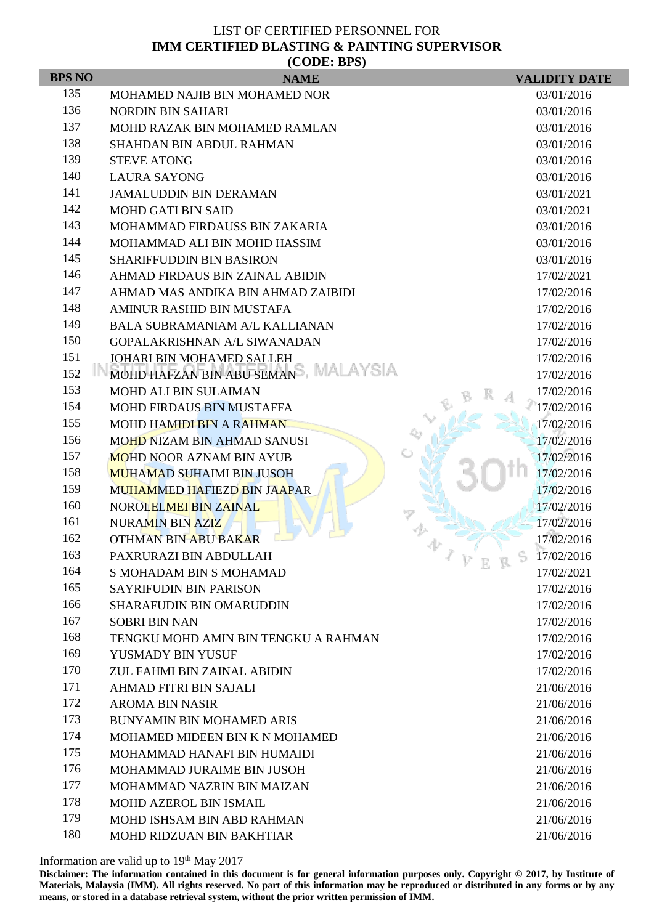| (CODE: BPS)   |                                       |                          |  |  |  |
|---------------|---------------------------------------|--------------------------|--|--|--|
| <b>BPS NO</b> | <b>NAME</b>                           | <b>VALIDITY DATE</b>     |  |  |  |
| 135           | MOHAMED NAJIB BIN MOHAMED NOR         | 03/01/2016               |  |  |  |
| 136           | <b>NORDIN BIN SAHARI</b>              | 03/01/2016               |  |  |  |
| 137           | MOHD RAZAK BIN MOHAMED RAMLAN         | 03/01/2016               |  |  |  |
| 138           | <b>SHAHDAN BIN ABDUL RAHMAN</b>       | 03/01/2016               |  |  |  |
| 139           | <b>STEVE ATONG</b>                    | 03/01/2016               |  |  |  |
| 140           | <b>LAURA SAYONG</b>                   | 03/01/2016               |  |  |  |
| 141           | <b>JAMALUDDIN BIN DERAMAN</b>         | 03/01/2021               |  |  |  |
| 142           | <b>MOHD GATI BIN SAID</b>             | 03/01/2021               |  |  |  |
| 143           | MOHAMMAD FIRDAUSS BIN ZAKARIA         | 03/01/2016               |  |  |  |
| 144           | MOHAMMAD ALI BIN MOHD HASSIM          | 03/01/2016               |  |  |  |
| 145           | <b>SHARIFFUDDIN BIN BASIRON</b>       | 03/01/2016               |  |  |  |
| 146           | AHMAD FIRDAUS BIN ZAINAL ABIDIN       | 17/02/2021               |  |  |  |
| 147           | AHMAD MAS ANDIKA BIN AHMAD ZAIBIDI    | 17/02/2016               |  |  |  |
| 148           | AMINUR RASHID BIN MUSTAFA             | 17/02/2016               |  |  |  |
| 149           | <b>BALA SUBRAMANIAM A/L KALLIANAN</b> | 17/02/2016               |  |  |  |
| 150           | <b>GOPALAKRISHNAN A/L SIWANADAN</b>   | 17/02/2016               |  |  |  |
| 151           | JOHARI BIN MOHAMED SALLEH             | 17/02/2016               |  |  |  |
| 152           | MOHD HAFZAN BIN ABU SEMANS, MALAYSIA  | 17/02/2016               |  |  |  |
| 153           | <b>MOHD ALI BIN SULAIMAN</b>          | 17/02/2016               |  |  |  |
| 154           | <b>MOHD FIRDAUS BIN MUSTAFFA</b>      | 17/02/2016               |  |  |  |
| 155           | <b>MOHD HAMIDI BIN A RAHMAN</b>       | 17/02/2016               |  |  |  |
| 156           | <b>MOHD NIZAM BIN AHMAD SANUSI</b>    | 17/02/2016               |  |  |  |
| 157           | <b>MOHD NOOR AZNAM BIN AYUB</b>       | 17/02/2016               |  |  |  |
| 158           | <b>MUHAMAD SUHAIMI BIN JUSOH</b>      | 17/02/2016               |  |  |  |
| 159           | <b>MUHAMMED HAFIEZD BIN JAAPAR</b>    | 17/02/2016               |  |  |  |
| 160           | NOROLELMEI BIN ZAINAL                 | 17/02/2016               |  |  |  |
| 161           | NURAMIN BIN AZIZ                      | 17/02/2016               |  |  |  |
| 162           | <b>OTHMAN BIN ABU BAKAR</b>           | 17/02/2016               |  |  |  |
| 163           | PAXRURAZI BIN ABDULLAH                | S<br>17/02/2016<br>V E R |  |  |  |
| 164           | S MOHADAM BIN S MOHAMAD               | 17/02/2021               |  |  |  |
| 165           | <b>SAYRIFUDIN BIN PARISON</b>         | 17/02/2016               |  |  |  |
| 166           | <b>SHARAFUDIN BIN OMARUDDIN</b>       | 17/02/2016               |  |  |  |
| 167           | <b>SOBRI BIN NAN</b>                  | 17/02/2016               |  |  |  |
| 168           | TENGKU MOHD AMIN BIN TENGKU A RAHMAN  | 17/02/2016               |  |  |  |
| 169           | YUSMADY BIN YUSUF                     | 17/02/2016               |  |  |  |
| 170           | ZUL FAHMI BIN ZAINAL ABIDIN           | 17/02/2016               |  |  |  |
| 171           | <b>AHMAD FITRI BIN SAJALI</b>         | 21/06/2016               |  |  |  |
| 172           | <b>AROMA BIN NASIR</b>                | 21/06/2016               |  |  |  |
| 173           | <b>BUNYAMIN BIN MOHAMED ARIS</b>      | 21/06/2016               |  |  |  |
| 174           | MOHAMED MIDEEN BIN K N MOHAMED        | 21/06/2016               |  |  |  |
| 175           | MOHAMMAD HANAFI BIN HUMAIDI           | 21/06/2016               |  |  |  |
| 176           | MOHAMMAD JURAIME BIN JUSOH            | 21/06/2016               |  |  |  |
| 177           | MOHAMMAD NAZRIN BIN MAIZAN            | 21/06/2016               |  |  |  |
| 178           | <b>MOHD AZEROL BIN ISMAIL</b>         | 21/06/2016               |  |  |  |
| 179           | MOHD ISHSAM BIN ABD RAHMAN            | 21/06/2016               |  |  |  |
| 180           | MOHD RIDZUAN BIN BAKHTIAR             | 21/06/2016               |  |  |  |

Information are valid up to 19<sup>th</sup> May 2017